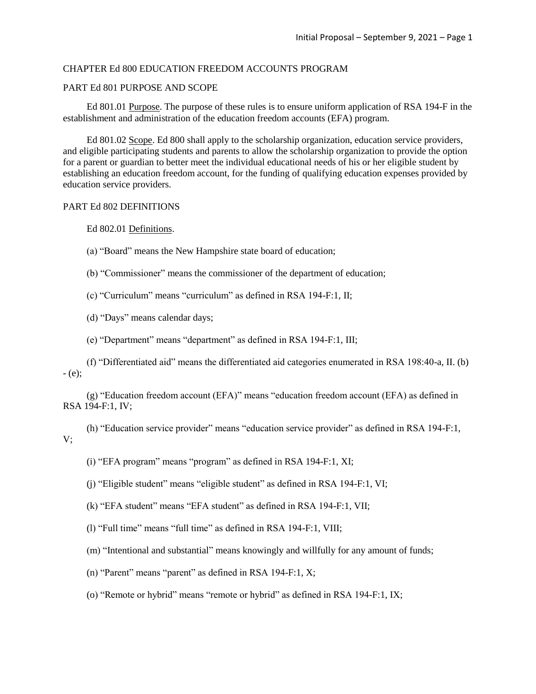## CHAPTER Ed 800 EDUCATION FREEDOM ACCOUNTS PROGRAM

## PART Ed 801 PURPOSE AND SCOPE

Ed 801.01 Purpose. The purpose of these rules is to ensure uniform application of RSA 194-F in the establishment and administration of the education freedom accounts (EFA) program.

Ed 801.02 Scope. Ed 800 shall apply to the scholarship organization, education service providers, and eligible participating students and parents to allow the scholarship organization to provide the option for a parent or guardian to better meet the individual educational needs of his or her eligible student by establishing an education freedom account, for the funding of qualifying education expenses provided by education service providers.

### PART Ed 802 DEFINITIONS

Ed 802.01 Definitions.

- (a) "Board" means the New Hampshire state board of education;
- (b) "Commissioner" means the commissioner of the department of education;
- (c) "Curriculum" means "curriculum" as defined in RSA 194-F:1, II;
- (d) "Days" means calendar days;
- (e) "Department" means "department" as defined in RSA 194-F:1, III;
- (f) "Differentiated aid" means the differentiated aid categories enumerated in RSA 198:40-a, II. (b) - (e);

(g) "Education freedom account (EFA)" means "education freedom account (EFA) as defined in RSA 194-F:1, IV;

- (h) "Education service provider" means "education service provider" as defined in RSA 194-F:1, V;
	- (i) "EFA program" means "program" as defined in RSA 194-F:1, XI;
	- (j) "Eligible student" means "eligible student" as defined in RSA 194-F:1, VI;
	- (k) "EFA student" means "EFA student" as defined in RSA 194-F:1, VII;
	- (l) "Full time" means "full time" as defined in RSA 194-F:1, VIII;
	- (m) "Intentional and substantial" means knowingly and willfully for any amount of funds;
	- (n) "Parent" means "parent" as defined in RSA 194-F:1, X;
	- (o) "Remote or hybrid" means "remote or hybrid" as defined in RSA 194-F:1, IX;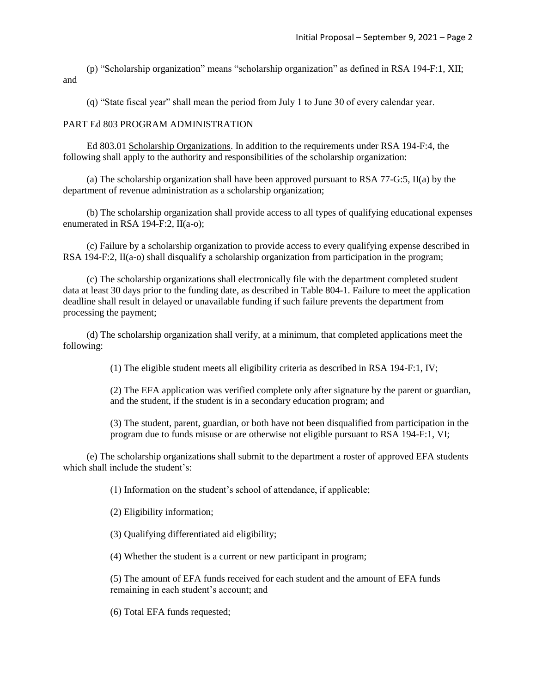(p) "Scholarship organization" means "scholarship organization" as defined in RSA 194-F:1, XII; and

(q) "State fiscal year" shall mean the period from July 1 to June 30 of every calendar year.

## PART Ed 803 PROGRAM ADMINISTRATION

Ed 803.01 Scholarship Organizations. In addition to the requirements under RSA 194-F:4, the following shall apply to the authority and responsibilities of the scholarship organization:

(a) The scholarship organization shall have been approved pursuant to RSA 77-G:5, II(a) by the department of revenue administration as a scholarship organization;

(b) The scholarship organization shall provide access to all types of qualifying educational expenses enumerated in RSA 194-F:2, II(a-o);

(c) Failure by a scholarship organization to provide access to every qualifying expense described in RSA 194-F:2,  $II(a-0)$  shall disqualify a scholarship organization from participation in the program;

(c) The scholarship organizations shall electronically file with the department completed student data at least 30 days prior to the funding date, as described in Table 804-1. Failure to meet the application deadline shall result in delayed or unavailable funding if such failure prevents the department from processing the payment;

(d) The scholarship organization shall verify, at a minimum, that completed applications meet the following:

(1) The eligible student meets all eligibility criteria as described in RSA 194-F:1, IV;

(2) The EFA application was verified complete only after signature by the parent or guardian, and the student, if the student is in a secondary education program; and

(3) The student, parent, guardian, or both have not been disqualified from participation in the program due to funds misuse or are otherwise not eligible pursuant to RSA 194-F:1, VI;

(e) The scholarship organizations shall submit to the department a roster of approved EFA students which shall include the student's:

(1) Information on the student's school of attendance, if applicable;

(2) Eligibility information;

(3) Qualifying differentiated aid eligibility;

(4) Whether the student is a current or new participant in program;

(5) The amount of EFA funds received for each student and the amount of EFA funds remaining in each student's account; and

(6) Total EFA funds requested;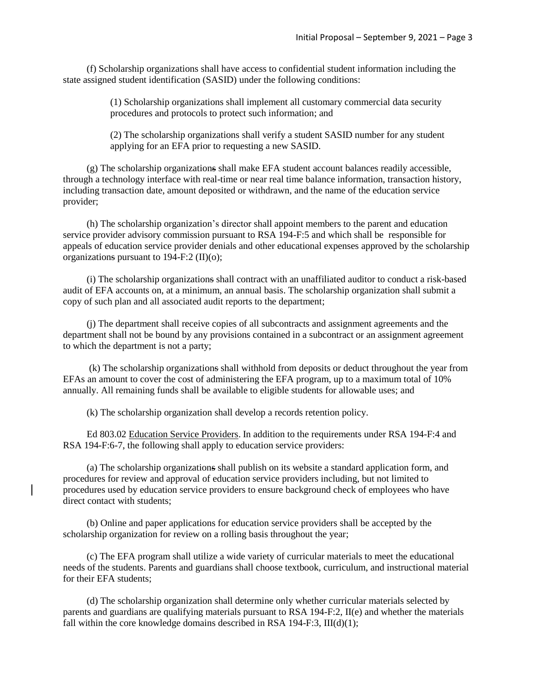(f) Scholarship organizations shall have access to confidential student information including the state assigned student identification (SASID) under the following conditions:

> (1) Scholarship organizations shall implement all customary commercial data security procedures and protocols to protect such information; and

> (2) The scholarship organizations shall verify a student SASID number for any student applying for an EFA prior to requesting a new SASID.

(g) The scholarship organizations shall make EFA student account balances readily accessible, through a technology interface with real-time or near real time balance information, transaction history, including transaction date, amount deposited or withdrawn, and the name of the education service provider;

(h) The scholarship organization's director shall appoint members to the parent and education service provider advisory commission pursuant to RSA 194-F:5 and which shall be responsible for appeals of education service provider denials and other educational expenses approved by the scholarship organizations pursuant to 194-F:2 (II)(o);

(i) The scholarship organizations shall contract with an unaffiliated auditor to conduct a risk-based audit of EFA accounts on, at a minimum, an annual basis. The scholarship organization shall submit a copy of such plan and all associated audit reports to the department;

(j) The department shall receive copies of all subcontracts and assignment agreements and the department shall not be bound by any provisions contained in a subcontract or an assignment agreement to which the department is not a party;

(k) The scholarship organizations shall withhold from deposits or deduct throughout the year from EFAs an amount to cover the cost of administering the EFA program, up to a maximum total of 10% annually. All remaining funds shall be available to eligible students for allowable uses; and

(k) The scholarship organization shall develop a records retention policy.

Ed 803.02 Education Service Providers. In addition to the requirements under RSA 194-F:4 and RSA 194-F:6-7, the following shall apply to education service providers:

(a) The scholarship organizations shall publish on its website a standard application form, and procedures for review and approval of education service providers including, but not limited to procedures used by education service providers to ensure background check of employees who have direct contact with students;

(b) Online and paper applications for education service providers shall be accepted by the scholarship organization for review on a rolling basis throughout the year;

(c) The EFA program shall utilize a wide variety of curricular materials to meet the educational needs of the students. Parents and guardians shall choose textbook, curriculum, and instructional material for their EFA students;

(d) The scholarship organization shall determine only whether curricular materials selected by parents and guardians are qualifying materials pursuant to RSA 194-F:2, II(e) and whether the materials fall within the core knowledge domains described in RSA 194-F:3,  $III(d)(1)$ ;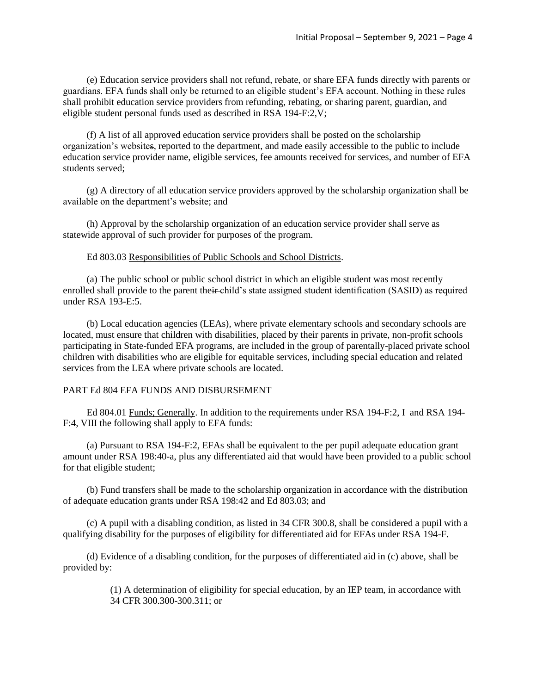(e) Education service providers shall not refund, rebate, or share EFA funds directly with parents or guardians. EFA funds shall only be returned to an eligible student's EFA account. Nothing in these rules shall prohibit education service providers from refunding, rebating, or sharing parent, guardian, and eligible student personal funds used as described in RSA 194-F:2,V;

(f) A list of all approved education service providers shall be posted on the scholarship organization's websites, reported to the department, and made easily accessible to the public to include education service provider name, eligible services, fee amounts received for services, and number of EFA students served;

(g) A directory of all education service providers approved by the scholarship organization shall be available on the department's website; and

(h) Approval by the scholarship organization of an education service provider shall serve as statewide approval of such provider for purposes of the program.

Ed 803.03 Responsibilities of Public Schools and School Districts.

(a) The public school or public school district in which an eligible student was most recently enrolled shall provide to the parent their child's state assigned student identification (SASID) as required under RSA 193-E:5.

(b) Local education agencies (LEAs), where private elementary schools and secondary schools are located, must ensure that children with disabilities, placed by their parents in private, non-profit schools participating in State-funded EFA programs, are included in the group of parentally-placed private school children with disabilities who are eligible for equitable services, including special education and related services from the LEA where private schools are located.

# PART Ed 804 EFA FUNDS AND DISBURSEMENT

Ed 804.01 Funds; Generally. In addition to the requirements under RSA 194-F:2, I and RSA 194- F:4, VIII the following shall apply to EFA funds:

(a) Pursuant to RSA 194-F:2, EFAs shall be equivalent to the per pupil adequate education grant amount under RSA 198:40-a, plus any differentiated aid that would have been provided to a public school for that eligible student;

(b) Fund transfers shall be made to the scholarship organization in accordance with the distribution of adequate education grants under RSA 198:42 and Ed 803.03; and

(c) A pupil with a disabling condition, as listed in 34 CFR 300.8, shall be considered a pupil with a qualifying disability for the purposes of eligibility for differentiated aid for EFAs under RSA 194-F.

(d) Evidence of a disabling condition, for the purposes of differentiated aid in (c) above, shall be provided by:

> (1) A determination of eligibility for special education, by an IEP team, in accordance with 34 CFR 300.300-300.311; or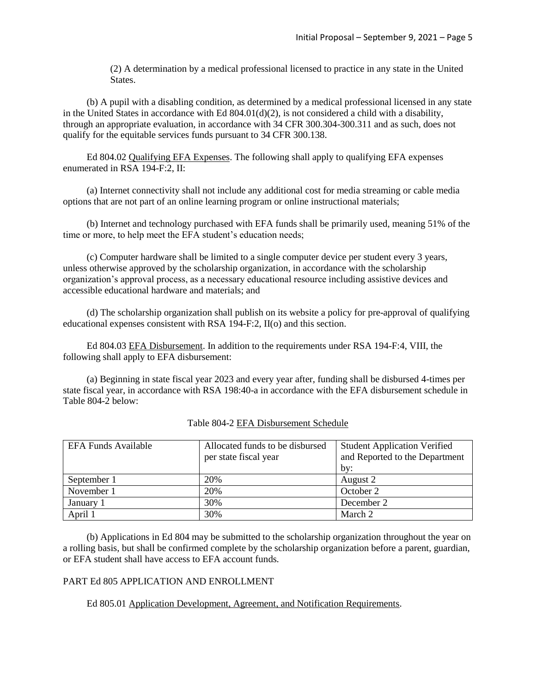(2) A determination by a medical professional licensed to practice in any state in the United States.

(b) A pupil with a disabling condition, as determined by a medical professional licensed in any state in the United States in accordance with Ed  $804.01(d)(2)$ , is not considered a child with a disability, through an appropriate evaluation, in accordance with 34 CFR 300.304-300.311 and as such, does not qualify for the equitable services funds pursuant to 34 CFR 300.138.

Ed 804.02 Qualifying EFA Expenses. The following shall apply to qualifying EFA expenses enumerated in RSA 194-F:2, II:

(a) Internet connectivity shall not include any additional cost for media streaming or cable media options that are not part of an online learning program or online instructional materials;

(b) Internet and technology purchased with EFA funds shall be primarily used, meaning 51% of the time or more, to help meet the EFA student's education needs;

(c) Computer hardware shall be limited to a single computer device per student every 3 years, unless otherwise approved by the scholarship organization, in accordance with the scholarship organization's approval process, as a necessary educational resource including assistive devices and accessible educational hardware and materials; and

(d) The scholarship organization shall publish on its website a policy for pre-approval of qualifying educational expenses consistent with RSA 194-F:2, II(o) and this section.

Ed 804.03 EFA Disbursement. In addition to the requirements under RSA 194-F:4, VIII, the following shall apply to EFA disbursement:

(a) Beginning in state fiscal year 2023 and every year after, funding shall be disbursed 4-times per state fiscal year, in accordance with RSA 198:40-a in accordance with the EFA disbursement schedule in Table 804-2 below:

| <b>EFA Funds Available</b> | Allocated funds to be disbursed<br>per state fiscal year | <b>Student Application Verified</b><br>and Reported to the Department |
|----------------------------|----------------------------------------------------------|-----------------------------------------------------------------------|
|                            |                                                          | by:                                                                   |
| September 1                | 20%                                                      | August 2                                                              |
| November 1                 | 20%                                                      | October 2                                                             |
| January 1                  | 30%                                                      | December 2                                                            |
| April 1                    | 30%                                                      | March 2                                                               |

#### Table 804-2 EFA Disbursement Schedule

(b) Applications in Ed 804 may be submitted to the scholarship organization throughout the year on a rolling basis, but shall be confirmed complete by the scholarship organization before a parent, guardian, or EFA student shall have access to EFA account funds.

## PART Ed 805 APPLICATION AND ENROLLMENT

Ed 805.01 Application Development, Agreement, and Notification Requirements.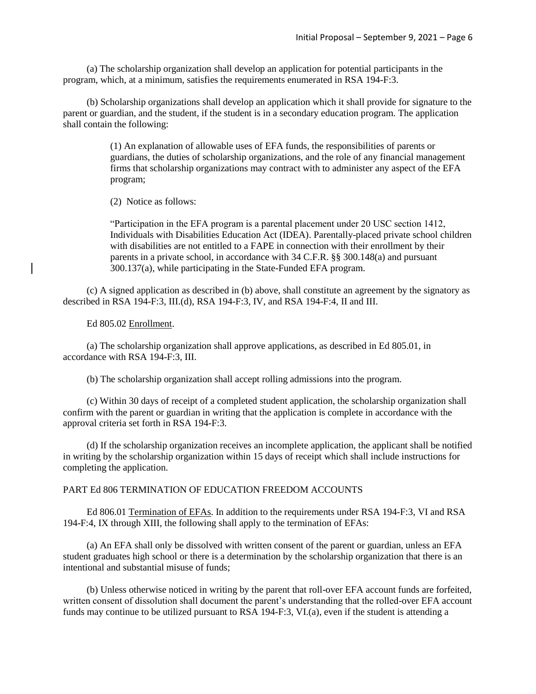(a) The scholarship organization shall develop an application for potential participants in the program, which, at a minimum, satisfies the requirements enumerated in RSA 194-F:3.

(b) Scholarship organizations shall develop an application which it shall provide for signature to the parent or guardian, and the student, if the student is in a secondary education program. The application shall contain the following:

> (1) An explanation of allowable uses of EFA funds, the responsibilities of parents or guardians, the duties of scholarship organizations, and the role of any financial management firms that scholarship organizations may contract with to administer any aspect of the EFA program;

(2) Notice as follows:

"Participation in the EFA program is a parental placement under 20 USC section 1412, Individuals with Disabilities Education Act (IDEA). Parentally-placed private school children with disabilities are not entitled to a FAPE in connection with their enrollment by their parents in a private school, in accordance with 34 C.F.R. §§ 300.148(a) and pursuant 300.137(a), while participating in the State-Funded EFA program.

(c) A signed application as described in (b) above, shall constitute an agreement by the signatory as described in RSA 194-F:3, III.(d), RSA 194-F:3, IV, and RSA 194-F:4, II and III.

Ed 805.02 Enrollment.

(a) The scholarship organization shall approve applications, as described in Ed 805.01, in accordance with RSA 194-F:3, III.

(b) The scholarship organization shall accept rolling admissions into the program.

(c) Within 30 days of receipt of a completed student application, the scholarship organization shall confirm with the parent or guardian in writing that the application is complete in accordance with the approval criteria set forth in RSA 194-F:3.

(d) If the scholarship organization receives an incomplete application, the applicant shall be notified in writing by the scholarship organization within 15 days of receipt which shall include instructions for completing the application.

# PART Ed 806 TERMINATION OF EDUCATION FREEDOM ACCOUNTS

Ed 806.01 Termination of EFAs. In addition to the requirements under RSA 194-F:3, VI and RSA 194-F:4, IX through XIII, the following shall apply to the termination of EFAs:

(a) An EFA shall only be dissolved with written consent of the parent or guardian, unless an EFA student graduates high school or there is a determination by the scholarship organization that there is an intentional and substantial misuse of funds;

(b) Unless otherwise noticed in writing by the parent that roll-over EFA account funds are forfeited, written consent of dissolution shall document the parent's understanding that the rolled-over EFA account funds may continue to be utilized pursuant to RSA 194-F:3, VI.(a), even if the student is attending a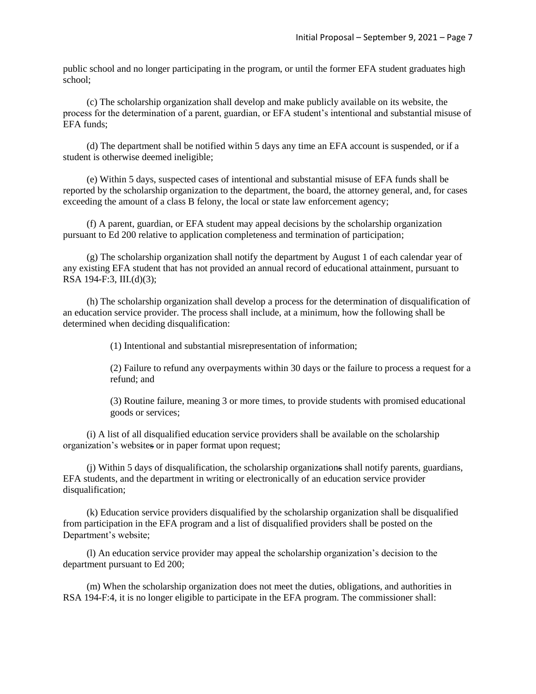public school and no longer participating in the program, or until the former EFA student graduates high school;

(c) The scholarship organization shall develop and make publicly available on its website, the process for the determination of a parent, guardian, or EFA student's intentional and substantial misuse of EFA funds;

(d) The department shall be notified within 5 days any time an EFA account is suspended, or if a student is otherwise deemed ineligible;

(e) Within 5 days, suspected cases of intentional and substantial misuse of EFA funds shall be reported by the scholarship organization to the department, the board, the attorney general, and, for cases exceeding the amount of a class B felony, the local or state law enforcement agency;

(f) A parent, guardian, or EFA student may appeal decisions by the scholarship organization pursuant to Ed 200 relative to application completeness and termination of participation;

(g) The scholarship organization shall notify the department by August 1 of each calendar year of any existing EFA student that has not provided an annual record of educational attainment, pursuant to RSA 194-F:3, III.(d)(3);

(h) The scholarship organization shall develop a process for the determination of disqualification of an education service provider. The process shall include, at a minimum, how the following shall be determined when deciding disqualification:

(1) Intentional and substantial misrepresentation of information;

(2) Failure to refund any overpayments within 30 days or the failure to process a request for a refund; and

(3) Routine failure, meaning 3 or more times, to provide students with promised educational goods or services;

(i) A list of all disqualified education service providers shall be available on the scholarship organization's websites or in paper format upon request;

(j) Within 5 days of disqualification, the scholarship organizations shall notify parents, guardians, EFA students, and the department in writing or electronically of an education service provider disqualification;

(k) Education service providers disqualified by the scholarship organization shall be disqualified from participation in the EFA program and a list of disqualified providers shall be posted on the Department's website;

(l) An education service provider may appeal the scholarship organization's decision to the department pursuant to Ed 200;

(m) When the scholarship organization does not meet the duties, obligations, and authorities in RSA 194-F:4, it is no longer eligible to participate in the EFA program. The commissioner shall: